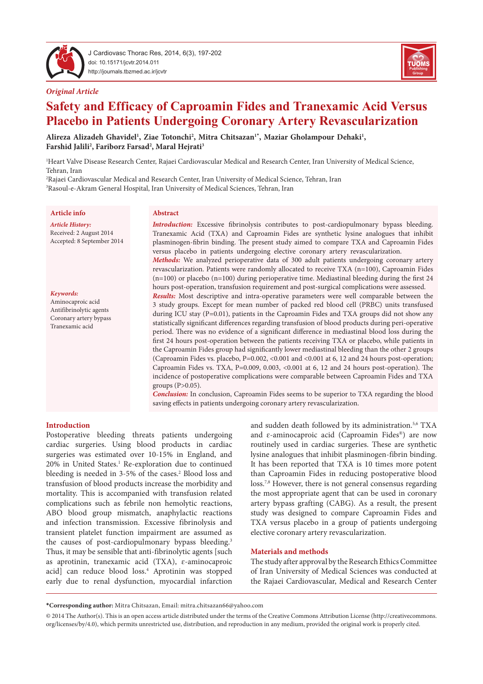

J Cardiovasc Thorac Res, 2014, 6(3), 197-202 doi: 10.15171/jcvtr.2014.011 http://journals.tbzmed.ac.ir/jcvtr





# **Safety and Efficacy of Caproamin Fides and Tranexamic Acid Versus Placebo in Patients Undergoing Coronary Artery Revascularization**

Alireza Alizadeh Ghavidel<sup>1</sup>, Ziae Totonchi<sup>2</sup>, Mitra Chitsazan<sup>1</sup>\*, Maziar Gholampour Dehaki<sup>1</sup>, **Farshid Jalili2 , Fariborz Farsad2 , Maral Hejrati3**

1 Heart Valve Disease Research Center, Rajaei Cardiovascular Medical and Research Center, Iran University of Medical Science, Tehran, Iran

2 Rajaei Cardiovascular Medical and Research Center, Iran University of Medical Science, Tehran, Iran 3 Rasoul-e-Akram General Hospital, Iran University of Medical Sciences, Tehran, Iran

# **Article info**

*Article History:* Received: 2 August 2014 Accepted: 8 September 2014

Keywords: Aminocaproic acid Antifibrinolytic agents Coronary artery bypass Tranexamic acid

#### **Abstract**

*Introduction:* Excessive fibrinolysis contributes to post-cardiopulmonary bypass bleeding. Tranexamic Acid (TXA) and Caproamin Fides are synthetic lysine analogues that inhibit plasminogen-fibrin binding. The present study aimed to compare TXA and Caproamin Fides versus placebo in patients undergoing elective coronary artery revascularization.

*Methods:* We analyzed perioperative data of 300 adult patients undergoing coronary artery revascularization. Patients were randomly allocated to receive TXA (n=100), Caproamin Fides  $(n=100)$  or placebo  $(n=100)$  during perioperative time. Mediastinal bleeding during the first 24 hours post-operation, transfusion requirement and post-surgical complications were assessed.

*Results:* Most descriptive and intra-operative parameters were well comparable between the 3 study groups. Except for mean number of packed red blood cell (PRBC) units transfused during ICU stay (P=0.01), patients in the Caproamin Fides and TXA groups did not show any statistically significant differences regarding transfusion of blood products during peri-operative period. There was no evidence of a significant difference in mediastinal blood loss during the first 24 hours post-operation between the patients receiving TXA or placebo, while patients in the Caproamin Fides group had significantly lower mediastinal bleeding than the other 2 groups (Caproamin Fides vs. placebo, P=0.002, <0.001 and <0.001 at 6, 12 and 24 hours post-operation; Caproamin Fides vs. TXA, P=0.009, 0.003, <0.001 at 6, 12 and 24 hours post-operation). The incidence of postoperative complications were comparable between Caproamin Fides and TXA groups (P>0.05).

**Conclusion:** In conclusion, Caproamin Fides seems to be superior to TXA regarding the blood saving effects in patients undergoing coronary artery revascularization.

### **Introduction**

Postoperative bleeding threats patients undergoing cardiac surgeries. Using blood products in cardiac surgeries was estimated over 10-15% in England, and 20% in United States.<sup>1</sup> Re-exploration due to continued bleeding is needed in 3-5% of the cases.<sup>2</sup> Blood loss and transfusion of blood products increase the morbidity and mortality. This is accompanied with transfusion related complications such as febrile non hemolytic reactions, ABO blood group mismatch, anaphylactic reactions and infection transmission. Excessive fibrinolysis and transient platelet function impairment are assumed as the causes of post-cardiopulmonary bypass bleeding.<sup>3</sup> Thus, it may be sensible that anti-fibrinolytic agents [such as aprotinin, tranexamic acid (TXA), ɛ-aminocaproic acid] can reduce blood loss.<sup>4</sup> Aprotinin was stopped early due to renal dysfunction, myocardial infarction

and sudden death followed by its administration.<sup>5,6</sup> TXA and ɛ-aminocaproic acid (Caproamin Fides®) are now routinely used in cardiac surgeries. These are synthetic lysine analogues that inhibit plasminogen-fibrin binding. It has been reported that TXA is 10 times more potent than Caproamin Fides in reducing postoperative blood loss.<sup>7,8</sup> However, there is not general consensus regarding the most appropriate agent that can be used in coronary artery bypass grafting (CABG). As a result, the present study was designed to compare Caproamin Fides and TXA versus placebo in a group of patients undergoing elective coronary artery revascularization.

#### **Materials and methods**

The study after approval by the Research Ethics Committee of Iran University of Medical Sciences was conducted at the Rajaei Cardiovascular, Medical and Research Center

**\*Corresponding author:** Mitra Chitsazan, Email: mitra.chitsazan66@yahoo.com

© 2014 The Author(s). This is an open access article distributed under the terms of the Creative Commons Attribution License (http://creativecommons. org/licenses/by/4.0), which permits unrestricted use, distribution, and reproduction in any medium, provided the original work is properly cited.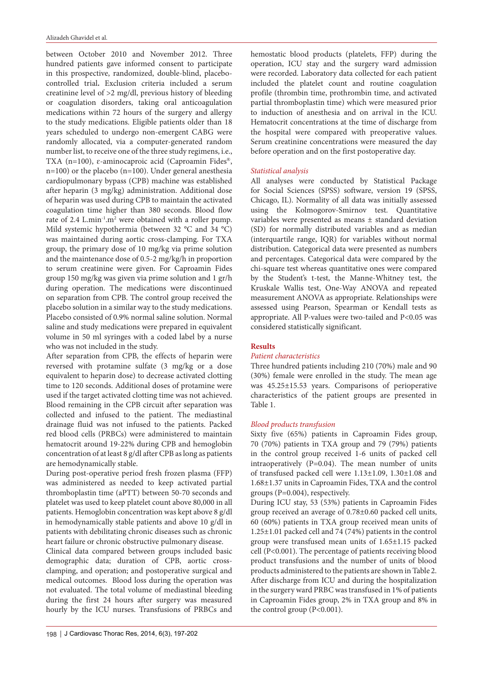between October 2010 and November 2012. Three hundred patients gave informed consent to participate in this prospective, randomized, double-blind, placebocontrolled trial**.** Exclusion criteria included a serum creatinine level of >2 mg/dl, previous history of bleeding or coagulation disorders, taking oral anticoagulation medications within 72 hours of the surgery and allergy to the study medications. Eligible patients older than 18 years scheduled to undergo non-emergent CABG were randomly allocated, via a computer-generated random number list, to receive one of the three study regimens, i.e., TXA (n=100), ɛ-aminocaproic acid (Caproamin Fides®, n=100) or the placebo (n=100). Under general anesthesia cardiopulmonary bypass (CPB) machine was established after heparin (3 mg/kg) administration. Additional dose of heparin was used during CPB to maintain the activated coagulation time higher than 380 seconds. Blood flow rate of 2.4 L.min<sup>-1</sup>.m<sup>2</sup> were obtained with a roller pump. Mild systemic hypothermia (between 32 °C and 34 °C) was maintained during aortic cross-clamping. For TXA group, the primary dose of 10 mg/kg via prime solution and the maintenance dose of 0.5-2 mg/kg/h in proportion to serum creatinine were given. For Caproamin Fides group 150 mg/kg was given via prime solution and 1 gr/h during operation. The medications were discontinued on separation from CPB. The control group received the placebo solution in a similar way to the study medications. Placebo consisted of 0.9% normal saline solution. Normal saline and study medications were prepared in equivalent volume in 50 ml syringes with a coded label by a nurse who was not included in the study.

After separation from CPB, the effects of heparin were reversed with protamine sulfate (3 mg/kg or a dose equivalent to heparin dose) to decrease activated clotting time to 120 seconds. Additional doses of protamine were used if the target activated clotting time was not achieved. Blood remaining in the CPB circuit after separation was collected and infused to the patient. The mediastinal drainage fluid was not infused to the patients. Packed red blood cells (PRBCs) were administered to maintain hematocrit around 19-22% during CPB and hemoglobin concentration of at least 8 g/dl after CPB as long as patients are hemodynamically stable.

During post-operative period fresh frozen plasma (FFP) was administered as needed to keep activated partial thromboplastin time (aPTT) between 50-70 seconds and platelet was used to keep platelet count above 80,000 in all patients. Hemoglobin concentration was kept above 8 g/dl in hemodynamically stable patients and above 10 g/dl in patients with debilitating chronic diseases such as chronic heart failure or chronic obstructive pulmonary disease.

Clinical data compared between groups included basic demographic data; duration of CPB, aortic crossclamping, and operation; and postoperative surgical and medical outcomes. Blood loss during the operation was not evaluated. The total volume of mediastinal bleeding during the first 24 hours after surgery was measured hourly by the ICU nurses. Transfusions of PRBCs and hemostatic blood products (platelets, FFP) during the operation, ICU stay and the surgery ward admission were recorded. Laboratory data collected for each patient included the platelet count and routine coagulation profile (thrombin time, prothrombin time, and activated partial thromboplastin time) which were measured prior to induction of anesthesia and on arrival in the ICU. Hematocrit concentrations at the time of discharge from the hospital were compared with preoperative values. Serum creatinine concentrations were measured the day before operation and on the first postoperative day.

# *Statistical analysis*

All analyses were conducted by Statistical Package for Social Sciences (SPSS) software, version 19 (SPSS, Chicago, IL). Normality of all data was initially assessed using the Kolmogorov-Smirnov test. Quantitative variables were presented as means ± standard deviation (SD) for normally distributed variables and as median (interquartile range, IQR) for variables without normal distribution. Categorical data were presented as numbers and percentages. Categorical data were compared by the chi-square test whereas quantitative ones were compared by the Student's t-test, the Manne-Whitney test, the Kruskale Wallis test, One-Way ANOVA and repeated measurement ANOVA as appropriate. Relationships were assessed using Pearson, Spearman or Kendall tests as appropriate. All P-values were two-tailed and P<0.05 was considered statistically significant.

# **Results**

# *Patient characteristics*

Three hundred patients including 210 (70%) male and 90 (30%) female were enrolled in the study. The mean age was 45.25±15.53 years. Comparisons of perioperative characteristics of the patient groups are presented in Table 1.

# *Blood products transfusion*

Sixty five (65%) patients in Caproamin Fides group, 70 (70%) patients in TXA group and 79 (79%) patients in the control group received 1-6 units of packed cell intraoperatively (P=0.04). The mean number of units of transfused packed cell were 1.13±1.09, 1.30±1.08 and 1.68±1.37 units in Caproamin Fides, TXA and the control groups (P=0.004), respectively.

During ICU stay, 53 (53%) patients in Caproamin Fides group received an average of 0.78±0.60 packed cell units, 60 (60%) patients in TXA group received mean units of 1.25±1.01 packed cell and 74 (74%) patients in the control group were transfused mean units of 1.65±1.15 packed cell (P<0.001). The percentage of patients receiving blood product transfusions and the number of units of blood products administered to the patients are shown in Table 2. After discharge from ICU and during the hospitalization in the surgery ward PRBC was transfused in 1% of patients in Caproamin Fides group, 2% in TXA group and 8% in the control group  $(P<0.001)$ .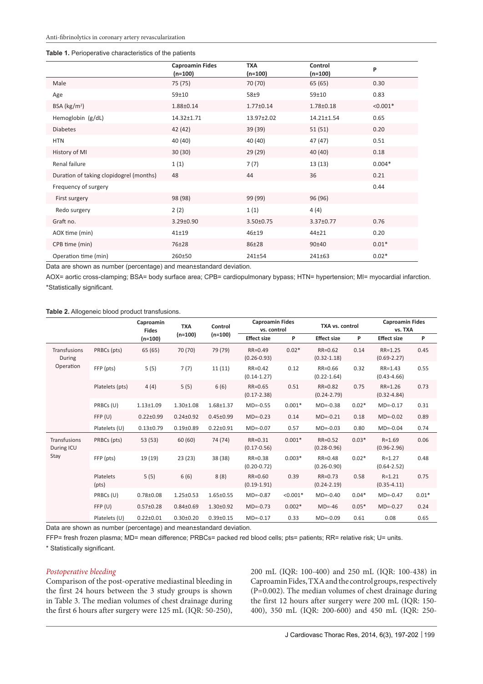#### **Table 1.** Perioperative characteristics of the patients

|                                         | <b>Caproamin Fides</b> | <b>TXA</b>           | Control              | P          |
|-----------------------------------------|------------------------|----------------------|----------------------|------------|
| Male                                    | $(n=100)$<br>75 (75)   | $(n=100)$<br>70 (70) | $(n=100)$<br>65 (65) | 0.30       |
| Age                                     | 59±10                  | $58+9$               | 59±10                | 0.83       |
| BSA ( $\text{kg/m}^2$ )                 | 1.88±0.14              | $1.77 \pm 0.14$      | $1.78 \pm 0.18$      | $< 0.001*$ |
| Hemoglobin (g/dL)                       | 14.32±1.71             | 13.97±2.02           | 14.21±1.54           | 0.65       |
| <b>Diabetes</b>                         | 42 (42)                | 39 (39)              | 51(51)               | 0.20       |
| <b>HTN</b>                              | 40 (40)                | 40 (40)              | 47 (47)              | 0.51       |
| History of MI                           | 30(30)                 | 29 (29)              | 40 (40)              | 0.18       |
| Renal failure                           | 1(1)                   | 7(7)                 | 13 (13)              | $0.004*$   |
| Duration of taking clopidogrel (months) | 48                     | 44                   | 36                   | 0.21       |
| Frequency of surgery                    |                        |                      |                      | 0.44       |
| First surgery                           | 98 (98)                | 99 (99)              | 96 (96)              |            |
| Redo surgery                            | 2(2)                   | 1(1)                 | 4(4)                 |            |
| Graft no.                               | $3.29 \pm 0.90$        | 3.50±0.75            | 3.37±0.77            | 0.76       |
| AOX time (min)                          | $41 + 19$              | 46±19                | $44 + 21$            | 0.20       |
| CPB time (min)                          | 76±28                  | 86±28                | $90 + 40$            | $0.01*$    |
| Operation time (min)                    | 260±50                 | $241 \pm 54$         | $241 \pm 63$         | $0.02*$    |

Data are shown as number (percentage) and mean±standard deviation.

AOX= aortic cross-clamping; BSA= body surface area; CPB= cardiopulmonary bypass; HTN= hypertension; MI= myocardial infarction. \*Statistically significant.

#### **Table 2.** Allogeneic blood product transfusions.

|                                           |                    | Caproamin<br><b>Fides</b> | <b>TXA</b>      | Control         |                                | <b>Caproamin Fides</b><br>TXA vs. control<br>vs. control |                                |         | <b>Caproamin Fides</b><br>vs. TXA |         |
|-------------------------------------------|--------------------|---------------------------|-----------------|-----------------|--------------------------------|----------------------------------------------------------|--------------------------------|---------|-----------------------------------|---------|
|                                           |                    | $(n=100)$                 | $(n=100)$       | $(n=100)$       | <b>Effect size</b>             | P                                                        | <b>Effect size</b>             | P       | <b>Effect size</b>                | P       |
| Transfusions<br>During<br>Operation       | PRBCs (pts)        | 65 (65)                   | 70 (70)         | 79 (79)         | RR=0.49<br>$(0.26 - 0.93)$     | $0.02*$                                                  | RR=0.62<br>$(0.32 - 1.18)$     | 0.14    | $RR = 1.25$<br>$(0.69 - 2.27)$    | 0.45    |
|                                           | FFP (pts)          | 5(5)                      | 7(7)            | 11(11)          | $RR = 0.42$<br>$(0.14 - 1.27)$ | 0.12                                                     | RR=0.66<br>$(0.22 - 1.64)$     | 0.32    | $RR = 1.43$<br>$(0.43 - 4.66)$    | 0.55    |
|                                           | Platelets (pts)    | 4(4)                      | 5(5)            | 6(6)            | RR=0.65<br>$(0.17 - 2.38)$     | 0.51                                                     | RR=0.82<br>$(0.24 - 2.79)$     | 0.75    | $RR = 1.26$<br>$(0.32 - 4.84)$    | 0.73    |
|                                           | PRBCs (U)          | $1.13 \pm 1.09$           | $1.30 \pm 1.08$ | $1.68 + 1.37$   | $MD=-0.55$                     | $0.001*$                                                 | $MD=-0.38$                     | $0.02*$ | $MD=-0.17$                        | 0.31    |
|                                           | FFP(U)             | $0.22 \pm 0.99$           | $0.24 \pm 0.92$ | $0.45 \pm 0.99$ | $MD=-0.23$                     | 0.14                                                     | $MD=-0.21$                     | 0.18    | $MD=-0.02$                        | 0.89    |
|                                           | Platelets (U)      | $0.13 \pm 0.79$           | $0.19{\pm}0.89$ | $0.22 \pm 0.91$ | $MD=-0.07$                     | 0.57                                                     | $MD=-0.03$                     | 0.80    | $MD=-0.04$                        | 0.74    |
| <b>Transfusions</b><br>During ICU<br>Stay | PRBCs (pts)        | 53 (53)                   | 60(60)          | 74 (74)         | RR=0.31<br>$(0.17 - 0.56)$     | $0.001*$                                                 | $RR = 0.52$<br>$(0.28 - 0.96)$ | $0.03*$ | $R = 1.69$<br>$(0.96 - 2.96)$     | 0.06    |
|                                           | FFP (pts)          | 19 (19)                   | 23(23)          | 38 (38)         | RR=0.38<br>$(0.20 - 0.72)$     | $0.003*$                                                 | RR=0.48<br>$(0.26 - 0.90)$     | $0.02*$ | $R = 1.27$<br>$(0.64 - 2.52)$     | 0.48    |
|                                           | Platelets<br>(pts) | 5(5)                      | 6(6)            | 8(8)            | RR=0.60<br>$(0.19 - 1.91)$     | 0.39                                                     | $RR = 0.73$<br>$(0.24 - 2.19)$ | 0.58    | $R = 1.21$<br>$(0.35 - 4.11)$     | 0.75    |
|                                           | PRBCs (U)          | $0.78 \pm 0.08$           | $1.25 \pm 0.53$ | $1.65 \pm 0.55$ | $MD=-0.87$                     | $< 0.001*$                                               | $MD=-0.40$                     | $0.04*$ | $MD=-0.47$                        | $0.01*$ |
|                                           | FFP(U)             | $0.57 \pm 0.28$           | $0.84 \pm 0.69$ | $1.30 \pm 0.92$ | $MD=-0.73$                     | $0.002*$                                                 | $MD=-46$                       | $0.05*$ | $MD=-0.27$                        | 0.24    |
|                                           | Platelets (U)      | $0.22 \pm 0.01$           | $0.30 \pm 0.20$ | $0.39 \pm 0.15$ | $MD=-0.17$                     | 0.33                                                     | $MD=-0.09$                     | 0.61    | 0.08                              | 0.65    |

Data are shown as number (percentage) and mean±standard deviation.

FFP= fresh frozen plasma; MD= mean difference; PRBCs= packed red blood cells; pts= patients; RR= relative risk; U= units. \* Statistically significant.

# *Postoperative bleeding*

Comparison of the post-operative mediastinal bleeding in the first 24 hours between the 3 study groups is shown in Table 3. The median volumes of chest drainage during the first 6 hours after surgery were 125 mL (IQR: 50-250), 200 mL (IQR: 100-400) and 250 mL (IQR: 100-438) in Caproamin Fides, TXA and the control groups, respectively (P=0.002). The median volumes of chest drainage during the first 12 hours after surgery were 200 mL (IQR: 150- 400), 350 mL (IQR: 200-600) and 450 mL (IQR: 250-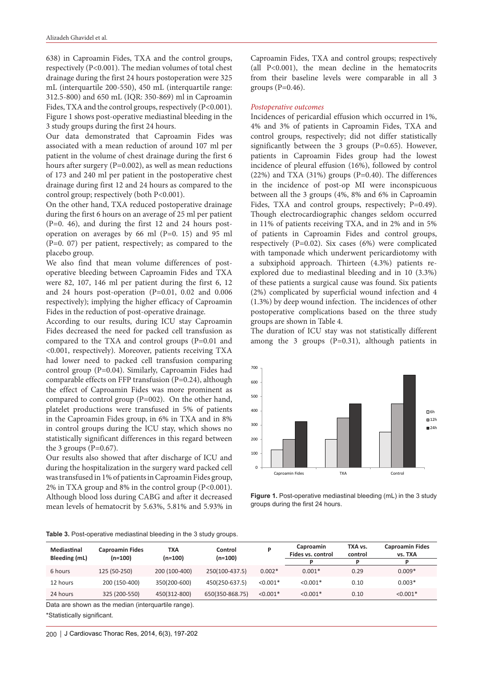638) in Caproamin Fides, TXA and the control groups, respectively (P<0.001). The median volumes of total chest drainage during the first 24 hours postoperation were 325 mL (interquartile 200-550), 450 mL (interquartile range: 312.5-800) and 650 mL (IQR: 350-869) ml in Caproamin Fides, TXA and the control groups, respectively (P<0.001). Figure 1 shows post-operative mediastinal bleeding in the 3 study groups during the first 24 hours.

Our data demonstrated that Caproamin Fides was associated with a mean reduction of around 107 ml per patient in the volume of chest drainage during the first 6 hours after surgery (P=0.002), as well as mean reductions of 173 and 240 ml per patient in the postoperative chest drainage during first 12 and 24 hours as compared to the control group; respectively (both P<0.001).

On the other hand, TXA reduced postoperative drainage during the first 6 hours on an average of 25 ml per patient (P=0. 46), and during the first 12 and 24 hours postoperation on averages by 66 ml (P=0. 15) and 95 ml (P=0. 07) per patient, respectively; as compared to the placebo group.

We also find that mean volume differences of postoperative bleeding between Caproamin Fides and TXA were 82, 107, 146 ml per patient during the first 6, 12 and 24 hours post-operation (P=0.01, 0.02 and 0.006 respectively); implying the higher efficacy of Caproamin Fides in the reduction of post-operative drainage.

According to our results, during ICU stay Caproamin Fides decreased the need for packed cell transfusion as compared to the TXA and control groups (P=0.01 and <0.001, respectively). Moreover, patients receiving TXA had lower need to packed cell transfusion comparing control group (P=0.04). Similarly, Caproamin Fides had comparable effects on FFP transfusion (P=0.24), although the effect of Caproamin Fides was more prominent as compared to control group (P=002). On the other hand, platelet productions were transfused in 5% of patients in the Caproamin Fides group, in 6% in TXA and in 8% in control groups during the ICU stay, which shows no statistically significant differences in this regard between the 3 groups ( $P=0.67$ ).

Our results also showed that after discharge of ICU and during the hospitalization in the surgery ward packed cell was transfused in 1% of patients in Caproamin Fides group, 2% in TXA group and 8% in the control group (P<0.001). Although blood loss during CABG and after it decreased mean levels of hematocrit by 5.63%, 5.81% and 5.93% in

Caproamin Fides, TXA and control groups; respectively (all P<0.001), the mean decline in the hematocrits from their baseline levels were comparable in all 3 groups  $(P=0.46)$ .

#### *Postoperative outcomes*

Incidences of pericardial effusion which occurred in 1%, 4% and 3% of patients in Caproamin Fides, TXA and control groups, respectively; did not differ statistically significantly between the 3 groups (P=0.65). However, patients in Caproamin Fides group had the lowest incidence of pleural effusion (16%), followed by control  $(22%)$  and TXA  $(31%)$  groups  $(P=0.40)$ . The differences in the incidence of post-op MI were inconspicuous between all the 3 groups (4%, 8% and 6% in Caproamin Fides, TXA and control groups, respectively; P=0.49). Though electrocardiographic changes seldom occurred in 11% of patients receiving TXA, and in 2% and in 5% of patients in Caproamin Fides and control groups, respectively (P=0.02). Six cases (6%) were complicated with tamponade which underwent pericardiotomy with a subxiphoid approach. Thirteen (4.3%) patients reexplored due to mediastinal bleeding and in 10 (3.3%) of these patients a surgical cause was found. Six patients (2%) complicated by superficial wound infection and 4 (1.3%) by deep wound infection. The incidences of other postoperative complications based on the three study groups are shown in Table 4.

The duration of ICU stay was not statistically different among the 3 groups (P=0.31), although patients in



**Figure 1.** Post-operative mediastinal bleeding (mL) in the 3 study groups during the first 24 hours.

|  | Table 3. Post-operative mediastinal bleeding in the 3 study groups. |  |  |  |  |  |
|--|---------------------------------------------------------------------|--|--|--|--|--|
|--|---------------------------------------------------------------------|--|--|--|--|--|

| Mediastinal<br>Bleeding (mL) | <b>Caproamin Fides</b><br>(n=100) | TXA<br>(n=100) | Control<br>$(n=100)$ |            | Caproamin<br>Fides vs. control | TXA vs.<br>control<br>D | <b>Caproamin Fides</b><br>vs. TXA |
|------------------------------|-----------------------------------|----------------|----------------------|------------|--------------------------------|-------------------------|-----------------------------------|
| 6 hours                      | 125 (50-250)                      | 200 (100-400)  | 250(100-437.5)       | $0.002*$   | $0.001*$                       | 0.29                    | $0.009*$                          |
| 12 hours                     | 200 (150-400)                     | 350(200-600)   | 450(250-637.5)       | $< 0.001*$ | $< 0.001*$                     | 0.10                    | $0.003*$                          |
| 24 hours                     | 325 (200-550)                     | 450(312-800)   | 650(350-868.75)      | $< 0.001*$ | $< 0.001*$                     | 0.10                    | $< 0.001*$                        |

Data are shown as the median (interquartile range).

\*Statistically significant.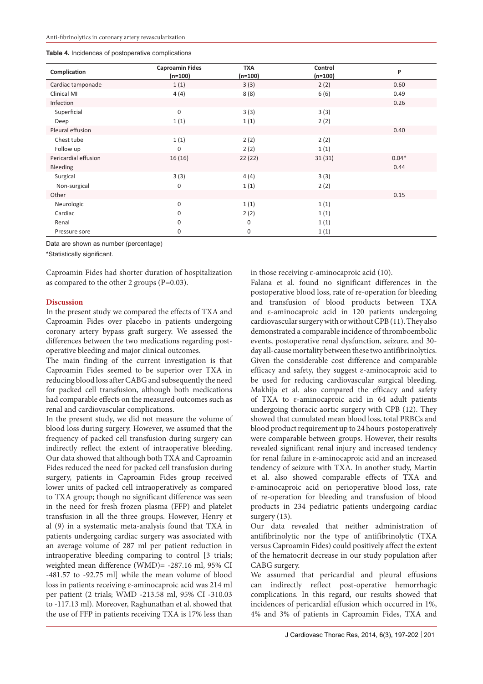| Complication         | <b>Caproamin Fides</b><br>$(n=100)$ | <b>TXA</b><br>$(n=100)$ | Control<br>$(n=100)$ | P       |
|----------------------|-------------------------------------|-------------------------|----------------------|---------|
| Cardiac tamponade    | 1(1)                                | 3(3)                    | 2(2)                 | 0.60    |
| Clinical MI          | 4(4)                                | 8(8)                    | 6(6)                 | 0.49    |
| Infection            |                                     |                         |                      | 0.26    |
| Superficial          | $\mathbf 0$                         | 3(3)                    | 3(3)                 |         |
| Deep                 | 1(1)                                | 1(1)                    | 2(2)                 |         |
| Pleural effusion     |                                     |                         |                      | 0.40    |
| Chest tube           | 1(1)                                | 2(2)                    | 2(2)                 |         |
| Follow up            | $\mathbf 0$                         | 2(2)                    | 1(1)                 |         |
| Pericardial effusion | 16(16)                              | 22(22)                  | 31(31)               | $0.04*$ |
| Bleeding             |                                     |                         |                      | 0.44    |
| Surgical             | 3(3)                                | 4(4)                    | 3(3)                 |         |
| Non-surgical         | $\mathbf 0$                         | 1(1)                    | 2(2)                 |         |
| Other                |                                     |                         |                      | 0.15    |
| Neurologic           | $\Omega$                            | 1(1)                    | 1(1)                 |         |
| Cardiac              | $\Omega$                            | 2(2)                    | 1(1)                 |         |
| Renal                | $\Omega$                            | $\mathbf 0$             | 1(1)                 |         |
| Pressure sore        | 0                                   | $\mathbf 0$             | 1(1)                 |         |

Data are shown as number (percentage)

\*Statistically significant.

Caproamin Fides had shorter duration of hospitalization as compared to the other 2 groups (P=0.03).

## **Discussion**

In the present study we compared the effects of TXA and Caproamin Fides over placebo in patients undergoing coronary artery bypass graft surgery. We assessed the differences between the two medications regarding postoperative bleeding and major clinical outcomes.

The main finding of the current investigation is that Caproamin Fides seemed to be superior over TXA in reducing blood loss after CABG and subsequently the need for packed cell transfusion, although both medications had comparable effects on the measured outcomes such as renal and cardiovascular complications.

In the present study, we did not measure the volume of blood loss during surgery. However, we assumed that the frequency of packed cell transfusion during surgery can indirectly reflect the extent of intraoperative bleeding. Our data showed that although both TXA and Caproamin Fides reduced the need for packed cell transfusion during surgery, patients in Caproamin Fides group received lower units of packed cell intraoperatively as compared to TXA group; though no significant difference was seen in the need for fresh frozen plasma (FFP) and platelet transfusion in all the three groups. However, Henry et al (9) in a systematic meta-analysis found that TXA in patients undergoing cardiac surgery was associated with an average volume of 287 ml per patient reduction in intraoperative bleeding comparing to control [3 trials; weighted mean difference (WMD)= -287.16 ml, 95% CI -481.57 to -92.75 ml] while the mean volume of blood loss in patients receiving ɛ-aminocaproic acid was 214 ml per patient (2 trials; WMD -213.58 ml, 95% CI -310.03 to -117.13 ml). Moreover, Raghunathan et al. showed that the use of FFP in patients receiving TXA is 17% less than

in those receiving  $\varepsilon$ -aminocaproic acid (10).

Falana et al. found no significant differences in the postoperative blood loss, rate of re-operation for bleeding and transfusion of blood products between TXA and ɛ-aminocaproic acid in 120 patients undergoing cardiovascular surgery with or without CPB (11). They also demonstrated a comparable incidence of thromboembolic events, postoperative renal dysfunction, seizure, and 30 day all-cause mortality between these two antifibrinolytics. Given the considerable cost difference and comparable efficacy and safety, they suggest  $\varepsilon$ -aminocaproic acid to be used for reducing cardiovascular surgical bleeding. Makhija et al. also compared the efficacy and safety of TXA to ɛ-aminocaproic acid in 64 adult patients undergoing thoracic aortic surgery with CPB (12). They showed that cumulated mean blood loss, total PRBCs and blood product requirement up to 24 hours postoperatively were comparable between groups. However, their results revealed significant renal injury and increased tendency for renal failure in ɛ-aminocaproic acid and an increased tendency of seizure with TXA. In another study, Martin et al. also showed comparable effects of TXA and ɛ-aminocaproic acid on perioperative blood loss, rate of re-operation for bleeding and transfusion of blood products in 234 pediatric patients undergoing cardiac surgery (13).

Our data revealed that neither administration of antifibrinolytic nor the type of antifibrinolytic (TXA versus Caproamin Fides) could positively affect the extent of the hematocrit decrease in our study population after CABG surgery.

We assumed that pericardial and pleural effusions can indirectly reflect post-operative hemorrhagic complications. In this regard, our results showed that incidences of pericardial effusion which occurred in 1%, 4% and 3% of patients in Caproamin Fides, TXA and